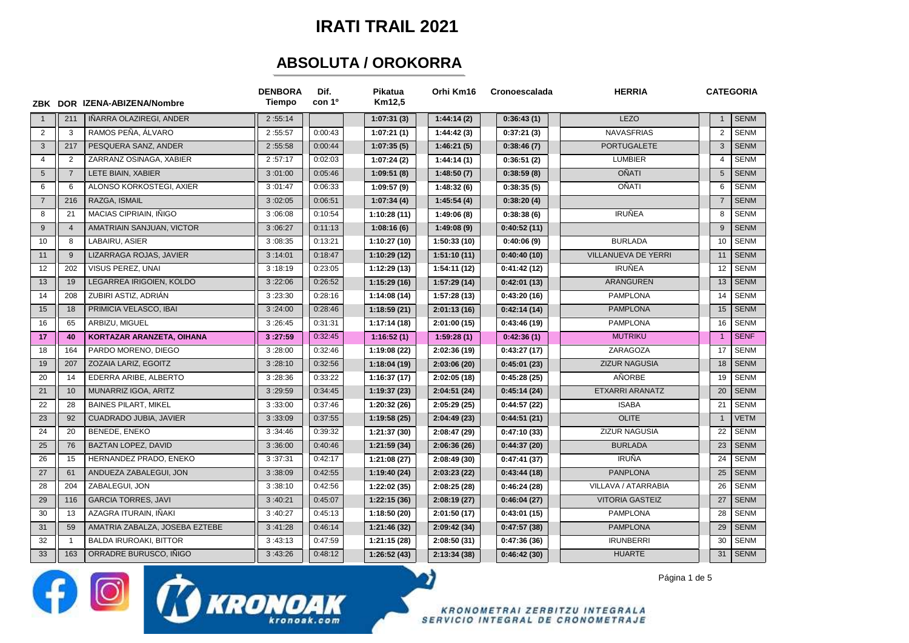## **IRATI TRAIL 2021**

## **ABSOLUTA / OROKORRA**

|                 |                | ZBK DOR IZENA-ABIZENA/Nombre   | <b>DENBORA</b><br>Tiempo | Dif.<br>con 1º | Pikatua<br>Km12,5 | Orhi Km16    | Cronoescalada | <b>HERRIA</b>          | <b>CATEGORIA</b> |             |
|-----------------|----------------|--------------------------------|--------------------------|----------------|-------------------|--------------|---------------|------------------------|------------------|-------------|
|                 | 211            | IÑARRA OLAZIREGI. ANDER        | 2:55:14                  |                | 1:07:31(3)        | 1:44:14(2)   | 0:36:43(1)    | LEZO                   | $\mathbf{1}$     | <b>SENM</b> |
| $\overline{2}$  | 3              | RAMOS PEÑA, ÁLVARO             | 2:55:57                  | 0:00:43        | 1:07:21(1)        | 1:44:42(3)   | 0:37:21(3)    | <b>NAVASFRIAS</b>      | $\overline{2}$   | <b>SENM</b> |
| 3               | 217            | PESQUERA SANZ, ANDER           | 2:55:58                  | 0:00:44        | 1:07:35(5)        | 1:46:21(5)   | 0:38:46(7)    | <b>PORTUGALETE</b>     | 3                | <b>SENM</b> |
| $\overline{4}$  | $\overline{2}$ | ZARRANZ OSINAGA, XABIER        | 2:57:17                  | 0:02:03        | 1:07:24(2)        | 1:44:14(1)   | 0:36:51(2)    | <b>LUMBIER</b>         | $\overline{4}$   | <b>SENM</b> |
| $5\phantom{.0}$ | $\overline{7}$ | LETE BIAIN, XABIER             | 3:01:00                  | 0:05:46        | 1:09:51(8)        | 1:48:50(7)   | 0:38:59(8)    | <b>OÑATI</b>           | $5\phantom{.0}$  | <b>SENM</b> |
| 6               | 6              | ALONSO KORKOSTEGI, AXIER       | 3:01:47                  | 0:06:33        | 1:09:57(9)        | 1:48:32(6)   | 0:38:35(5)    | OÑATI                  | 6                | <b>SENM</b> |
| $\overline{7}$  | 216            | RAZGA, ISMAIL                  | 3:02:05                  | 0:06:51        | 1:07:34(4)        | 1:45:54(4)   | 0:38:20(4)    |                        | $\overline{7}$   | <b>SENM</b> |
| 8               | 21             | MACIAS CIPRIAIN, IÑIGO         | 3:06:08                  | 0:10:54        | 1:10:28(11)       | 1:49:06(8)   | 0:38:38(6)    | <b>IRUÑEA</b>          | 8                | <b>SENM</b> |
| 9               | $\overline{4}$ | AMATRIAIN SANJUAN, VICTOR      | 3:06:27                  | 0:11:13        | 1:08:16(6)        | 1:49:08(9)   | 0:40:52(11)   |                        | 9                | <b>SENM</b> |
| 10              | 8              | LABAIRU, ASIER                 | 3:08:35                  | 0:13:21        | 1:10:27(10)       | 1:50:33(10)  | 0:40:06(9)    | <b>BURLADA</b>         | 10               | <b>SENM</b> |
| 11              | 9              | LIZARRAGA ROJAS, JAVIER        | 3:14:01                  | 0:18:47        | 1:10:29(12)       | 1:51:10(11)  | 0:40:40(10)   | VILLANUEVA DE YERRI    | 11               | <b>SENM</b> |
| 12              | 202            | VISUS PEREZ, UNAI              | 3:18:19                  | 0:23:05        | 1:12:29(13)       | 1:54:11 (12) | 0:41:42(12)   | <b>IRUÑEA</b>          | 12               | <b>SENM</b> |
| 13              | 19             | LEGARREA IRIGOIEN, KOLDO       | 3:22:06                  | 0:26:52        | 1:15:29(16)       | 1:57:29(14)  | 0:42:01(13)   | <b>ARANGUREN</b>       | 13               | <b>SENM</b> |
| 14              | 208            | ZUBIRI ASTIZ, ADRIÁN           | 3:23:30                  | 0:28:16        | 1:14:08(14)       | 1:57:28 (13) | 0:43:20(16)   | <b>PAMPLONA</b>        | 14               | <b>SENM</b> |
| 15              | 18             | PRIMICIA VELASCO, IBAI         | 3:24:00                  | 0:28:46        | 1:18:59(21)       | 2:01:13(16)  | 0:42:14(14)   | <b>PAMPLONA</b>        | 15               | <b>SENM</b> |
| 16              | 65             | ARBIZU, MIGUEL                 | 3:26:45                  | 0:31:31        | 1:17:14(18)       | 2:01:00(15)  | 0:43:46(19)   | PAMPLONA               | 16               | <b>SENM</b> |
| 17              | 40             | KORTAZAR ARANZETA, OIHANA      | 3:27:59                  | 0:32:45        | 1:16:52(1)        | 1:59:28(1)   | 0:42:36(1)    | <b>MUTRIKU</b>         | $\overline{1}$   | <b>SENF</b> |
| 18              | 164            | PARDO MORENO, DIEGO            | 3:28:00                  | 0:32:46        | 1:19:08 (22)      | 2:02:36(19)  | 0:43:27(17)   | ZARAGOZA               | 17               | <b>SENM</b> |
| 19              | 207            | ZOZAIA LARIZ, EGOITZ           | 3:28:10                  | 0:32:56        | 1:18:04(19)       | 2:03:06 (20) | 0:45:01(23)   | <b>ZIZUR NAGUSIA</b>   | 18               | <b>SENM</b> |
| 20              | 14             | EDERRA ARIBE, ALBERTO          | 3:28:36                  | 0:33:22        | 1:16:37(17)       | 2:02:05(18)  | 0:45:28(25)   | AÑORBE                 | 19               | <b>SENM</b> |
| 21              | 10             | MUNARRIZ IGOA, ARITZ           | 3:29:59                  | 0:34:45        | 1:19:37(23)       | 2:04:51(24)  | 0:45:14(24)   | ETXARRI ARANATZ        | 20               | <b>SENM</b> |
| 22              | 28             | <b>BAINES PILART, MIKEL</b>    | 3:33:00                  | 0:37:46        | 1:20:32(26)       | 2:05:29 (25) | 0:44:57(22)   | <b>ISABA</b>           | 21               | <b>SENM</b> |
| 23              | 92             | CUADRADO JUBIA, JAVIER         | 3:33:09                  | 0:37:55        | 1:19:58(25)       | 2:04:49 (23) | 0:44:51(21)   | <b>OLITE</b>           | $\mathbf{1}$     | <b>VETM</b> |
| 24              | 20             | BENEDE, ENEKO                  | 3:34:46                  | 0:39:32        | 1:21:37(30)       | 2:08:47 (29) | 0:47:10(33)   | <b>ZIZUR NAGUSIA</b>   | 22               | <b>SENM</b> |
| 25              | 76             | <b>BAZTAN LOPEZ, DAVID</b>     | 3:36:00                  | 0:40:46        | 1:21:59(34)       | 2:06:36(26)  | 0:44:37(20)   | <b>BURLADA</b>         | 23               | <b>SENM</b> |
| 26              | 15             | HERNANDEZ PRADO, ENEKO         | 3:37:31                  | 0:42:17        | 1:21:08(27)       | 2:08:49 (30) | 0:47:41(37)   | <b>IRUÑA</b>           | 24               | <b>SENM</b> |
| 27              | 61             | ANDUEZA ZABALEGUI, JON         | 3:38:09                  | 0:42:55        | 1:19:40(24)       | 2:03:23(22)  | 0:43:44(18)   | <b>PANPLONA</b>        | 25               | <b>SENM</b> |
| 28              | 204            | ZABALEGUI, JON                 | 3:38:10                  | 0:42:56        | 1:22:02(35)       | 2:08:25(28)  | 0:46:24(28)   | VILLAVA / ATARRABIA    | 26               | <b>SENM</b> |
| 29              | 116            | <b>GARCIA TORRES, JAVI</b>     | 3:40:21                  | 0:45:07        | 1:22:15(36)       | 2:08:19(27)  | 0:46:04(27)   | <b>VITORIA GASTEIZ</b> | 27               | <b>SENM</b> |
| 30              | 13             | AZAGRA ITURAIN. IÑAKI          | 3:40:27                  | 0:45:13        | 1:18:50 (20)      | 2:01:50 (17) | 0:43:01(15)   | <b>PAMPLONA</b>        | 28               | <b>SENM</b> |
| 31              | 59             | AMATRIA ZABALZA, JOSEBA EZTEBE | 3:41:28                  | 0:46:14        | 1:21:46(32)       | 2:09:42 (34) | 0:47:57(38)   | <b>PAMPLONA</b>        | 29               | <b>SENM</b> |
| 32              | $\overline{1}$ | <b>BALDA IRUROAKI, BITTOR</b>  | 3:43:13                  | 0:47:59        | 1:21:15(28)       | 2:08:50(31)  | 0:47:36(36)   | <b>IRUNBERRI</b>       | 30               | <b>SENM</b> |
| 33              | 163            | ORRADRE BURUSCO, IÑIGO         | 3:43:26                  | 0:48:12        | 1:26:52(43)       | 2:13:34 (38) | 0:46:42(30)   | <b>HUARTE</b>          | 31               | <b>SENM</b> |

Página 1 de 5

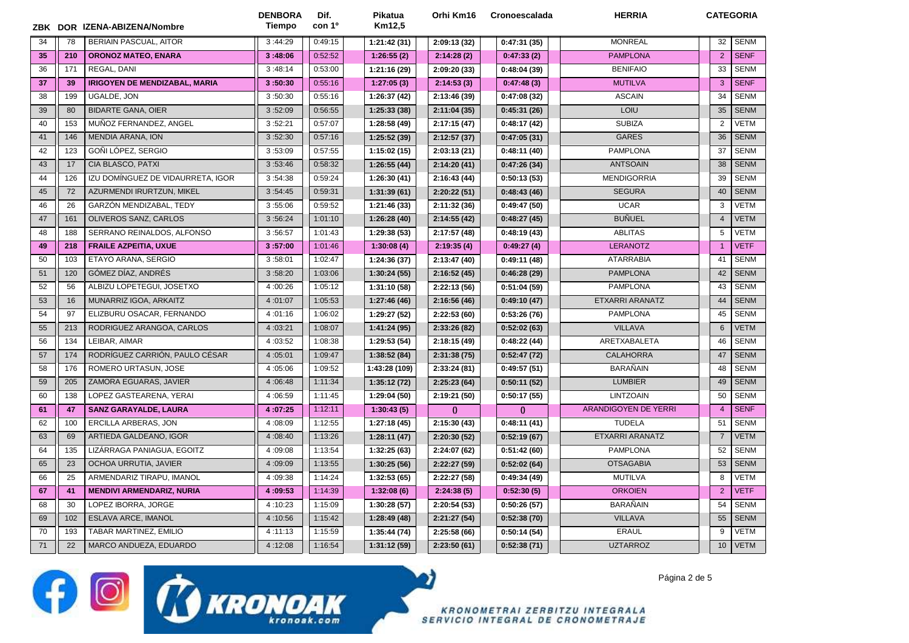|    |     | ZBK DOR IZENA-ABIZENA/Nombre         | <b>DENBORA</b><br>Tiempo | Dif.<br>con 1 <sup>o</sup> | Pikatua<br>Km12.5 | Orhi Km16    | Cronoescalada | <b>HERRIA</b>        | <b>CATEGORIA</b> |             |
|----|-----|--------------------------------------|--------------------------|----------------------------|-------------------|--------------|---------------|----------------------|------------------|-------------|
| 34 | 78  | <b>BERIAIN PASCUAL, AITOR</b>        | 3:44:29                  | 0:49:15                    | 1:21:42(31)       | 2:09:13 (32) | 0:47:31(35)   | <b>MONREAL</b>       | 32               | <b>SENM</b> |
| 35 | 210 | <b>ORONOZ MATEO, ENARA</b>           | 3:48:06                  | 0:52:52                    | 1:26:55(2)        | 2:14:28(2)   | 0:47:33(2)    | <b>PAMPLONA</b>      | 2                | <b>SENF</b> |
| 36 | 171 | REGAL, DANI                          | 3:48:14                  | 0:53:00                    | 1:21:16 (29)      | 2:09:20 (33) | 0:48:04(39)   | <b>BENIFAIO</b>      | 33               | <b>SENM</b> |
| 37 | 39  | <b>IRIGOYEN DE MENDIZABAL, MARIA</b> | 3:50:30                  | 0:55:16                    | 1:27:05(3)        | 2:14:53(3)   | 0:47:48(3)    | <b>MUTILVA</b>       | 3                | <b>SENF</b> |
| 38 | 199 | UGALDE, JON                          | 3:50:30                  | 0:55:16                    | 1:26:37 (42)      | 2:13:46 (39) | 0:47:08(32)   | <b>ASCAIN</b>        | 34               | <b>SENM</b> |
| 39 | 80  | <b>BIDARTE GANA, OIER</b>            | 3:52:09                  | 0:56:55                    | 1:25:33 (38)      | 2:11:04(35)  | 0:45:31(26)   | LOIU                 | 35               | <b>SENM</b> |
| 40 | 153 | MUÑOZ FERNANDEZ, ANGEL               | 3:52:21                  | 0:57:07                    | 1:28:58 (49)      | 2:17:15 (47) | 0:48:17(42)   | <b>SUBIZA</b>        | 2                | <b>VETM</b> |
| 41 | 146 | <b>MENDIA ARANA, ION</b>             | 3:52:30                  | 0:57:16                    | 1:25:52 (39)      | 2:12:57(37)  | 0:47:05(31)   | <b>GARES</b>         | 36               | <b>SENM</b> |
| 42 | 123 | GOÑI LÓPEZ, SERGIO                   | 3:53:09                  | 0:57:55                    | 1:15:02(15)       | 2:03:13(21)  | 0:48:11(40)   | <b>PAMPLONA</b>      | 37               | <b>SENM</b> |
| 43 | 17  | CIA BLASCO, PATXI                    | 3:53:46                  | 0:58:32                    | 1:26:55(44)       | 2:14:20(41)  | 0:47:26(34)   | <b>ANTSOAIN</b>      | 38               | <b>SENM</b> |
| 44 | 126 | IZU DOMÍNGUEZ DE VIDAURRETA, IGOR    | 3:54:38                  | 0:59:24                    | 1:26:30(41)       | 2:16:43 (44) | 0:50:13(53)   | <b>MENDIGORRIA</b>   | 39               | <b>SENM</b> |
| 45 | 72  | AZURMENDI IRURTZUN, MIKEL            | 3:54:45                  | 0:59:31                    | 1:31:39(61)       | 2:20:22(51)  | 0:48:43(46)   | <b>SEGURA</b>        | 40               | <b>SENM</b> |
| 46 | 26  | GARZÓN MENDIZABAL, TEDY              | 3:55:06                  | 0:59:52                    | 1:21:46 (33)      | 2:11:32 (36) | 0:49:47(50)   | <b>UCAR</b>          | 3                | <b>VETM</b> |
| 47 | 161 | OLIVEROS SANZ, CARLOS                | 3:56:24                  | 1:01:10                    | 1:26:28(40)       | 2:14:55 (42) | 0:48:27(45)   | <b>BUÑUEL</b>        | $\overline{4}$   | <b>VETM</b> |
| 48 | 188 | SERRANO REINALDOS, ALFONSO           | 3:56:57                  | 1:01:43                    | 1:29:38 (53)      | 2:17:57 (48) | 0:48:19(43)   | <b>ABLITAS</b>       | 5                | <b>VETM</b> |
| 49 | 218 | <b>FRAILE AZPEITIA, UXUE</b>         | 3:57:00                  | 1:01:46                    | 1:30:08(4)        | 2:19:35(4)   | 0:49:27(4)    | <b>LERANOTZ</b>      | $\overline{1}$   | <b>VETF</b> |
| 50 | 103 | ETAYO ARANA, SERGIO                  | 3:58:01                  | 1:02:47                    | 1:24:36 (37)      | 2:13:47 (40) | 0:49:11(48)   | <b>ATARRABIA</b>     | 41               | <b>SENM</b> |
| 51 | 120 | GÓMEZ DÍAZ, ANDRÉS                   | 3:58:20                  | 1:03:06                    | 1:30:24(55)       | 2:16:52(45)  | 0:46:28(29)   | <b>PAMPLONA</b>      | 42               | <b>SENM</b> |
| 52 | 56  | ALBIZU LOPETEGUI, JOSETXO            | 4:00:26                  | 1:05:12                    | 1:31:10 (58)      | 2:22:13 (56) | 0:51:04(59)   | <b>PAMPLONA</b>      | 43               | <b>SENM</b> |
| 53 | 16  | MUNARRIZ IGOA, ARKAITZ               | 4:01:07                  | 1:05:53                    | 1:27:46(46)       | 2:16:56 (46) | 0:49:10(47)   | ETXARRI ARANATZ      | 44               | <b>SENM</b> |
| 54 | 97  | ELIZBURU OSACAR, FERNANDO            | 4:01:16                  | 1:06:02                    | 1:29:27 (52)      | 2:22:53 (60) | 0:53:26(76)   | <b>PAMPLONA</b>      | 45               | <b>SENM</b> |
| 55 | 213 | RODRIGUEZ ARANGOA, CARLOS            | 4:03:21                  | 1:08:07                    | 1:41:24 (95)      | 2:33:26 (82) | 0:52:02(63)   | <b>VILLAVA</b>       | 6                | <b>VETM</b> |
| 56 | 134 | LEIBAR, AIMAR                        | 4:03:52                  | 1:08:38                    | 1:29:53 (54)      | 2:18:15 (49) | 0:48:22(44)   | ARETXABALETA         | 46               | <b>SENM</b> |
| 57 | 174 | RODRÍGUEZ CARRIÓN, PAULO CÉSAR       | 4:05:01                  | 1:09:47                    | 1:38:52 (84)      | 2:31:38 (75) | 0:52:47(72)   | <b>CALAHORRA</b>     | 47               | <b>SENM</b> |
| 58 | 176 | ROMERO URTASUN, JOSE                 | 4:05:06                  | 1:09:52                    | 1:43:28 (109)     | 2:33:24(81)  | 0:49:57(51)   | <b>BARAÑAIN</b>      | 48               | <b>SENM</b> |
| 59 | 205 | ZAMORA EGUARAS, JAVIER               | 4:06:48                  | 1:11:34                    | 1:35:12(72)       | 2:25:23(64)  | 0:50:11(52)   | <b>LUMBIER</b>       | 49               | <b>SENM</b> |
| 60 | 138 | LOPEZ GASTEARENA, YERAI              | 4:06:59                  | 1:11:45                    | 1:29:04 (50)      | 2:19:21 (50) | 0:50:17(55)   | <b>LINTZOAIN</b>     | 50               | <b>SENM</b> |
| 61 | 47  | <b>SANZ GARAYALDE, LAURA</b>         | 4:07:25                  | 1:12:11                    | 1:30:43(5)        | $\theta$     | $\mathbf{0}$  | ARANDIGOYEN DE YERRI | $\overline{4}$   | <b>SENF</b> |
| 62 | 100 | ERCILLA ARBERAS, JON                 | 4:08:09                  | 1:12:55                    | 1:27:18(45)       | 2:15:30 (43) | 0:48:11(41)   | <b>TUDELA</b>        | 51               | <b>SENM</b> |
| 63 | 69  | ARTIEDA GALDEANO, IGOR               | 4:08:40                  | 1:13:26                    | 1:28:11(47)       | 2:20:30 (52) | 0:52:19(67)   | ETXARRI ARANATZ      | $\overline{7}$   | <b>VETM</b> |
| 64 | 135 | LIZÁRRAGA PANIAGUA, EGOITZ           | 4:09:08                  | 1:13:54                    | 1:32:25 (63)      | 2:24:07 (62) | 0:51:42(60)   | <b>PAMPLONA</b>      | 52               | <b>SENM</b> |
| 65 | 23  | OCHOA URRUTIA, JAVIER                | 4:09:09                  | 1:13:55                    | 1:30:25(56)       | 2:22:27 (59) | 0:52:02(64)   | <b>OTSAGABIA</b>     | 53               | <b>SENM</b> |
| 66 | 25  | ARMENDARIZ TIRAPU, IMANOL            | 4:09:38                  | 1:14:24                    | 1:32:53 (65)      | 2:22:27 (58) | 0:49:34(49)   | <b>MUTILVA</b>       | 8                | VETM        |
| 67 | 41  | <b>MENDIVI ARMENDARIZ, NURIA</b>     | 4:09:53                  | 1:14:39                    | 1:32:08(6)        | 2:24:38(5)   | 0:52:30(5)    | <b>ORKOIEN</b>       | 2                | <b>VETF</b> |
| 68 | 30  | LOPEZ IBORRA, JORGE                  | 4:10:23                  | 1:15:09                    | 1:30:28 (57)      | 2:20:54 (53) | 0:50:26(57)   | <b>BARAÑAIN</b>      | 54               | <b>SENM</b> |
| 69 | 102 | ESLAVA ARCE, IMANOL                  | 4:10:56                  | 1:15:42                    | 1:28:49(48)       | 2:21:27(54)  | 0:52:38(70)   | <b>VILLAVA</b>       | 55               | <b>SENM</b> |
| 70 | 193 | TABAR MARTINEZ, EMILIO               | 4:11:13                  | 1:15:59                    | 1:35:44 (74)      | 2:25:58(66)  | 0:50:14(54)   | <b>ERAUL</b>         | 9                | <b>VETM</b> |
| 71 | 22  | MARCO ANDUEZA, EDUARDO               | 4:12:08                  | 1:16:54                    | 1:31:12(59)       | 2:23:50(61)  | 0:52:38(71)   | <b>UZTARROZ</b>      | 10               | <b>VETM</b> |

**f** O CO KRONOAK

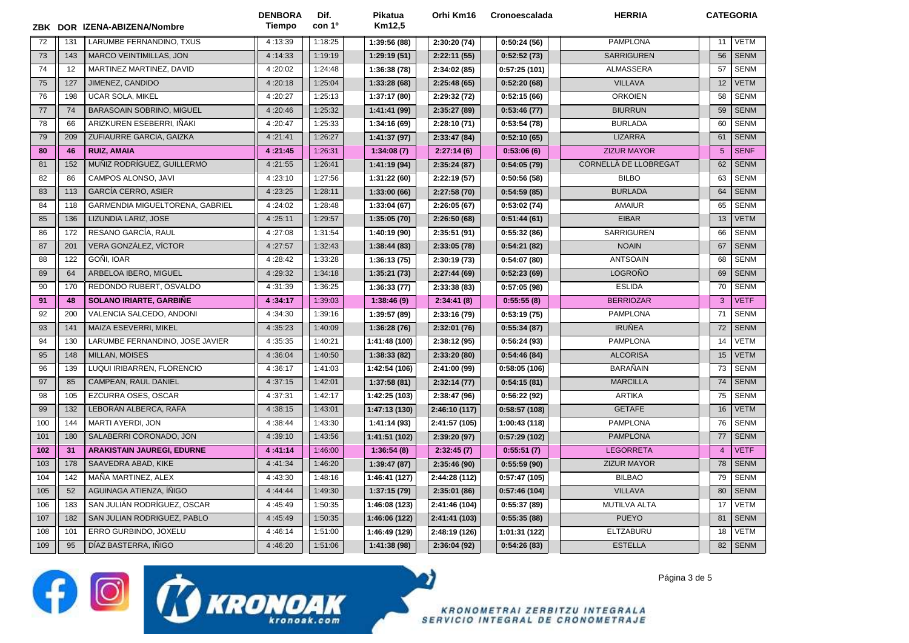|     |     | ZBK DOR IZENA-ABIZENA/Nombre      | <b>DENBORA</b><br>Tiempo | Dif.<br>con 1º | Pikatua<br>Km12,5 | Orhi Km16     | Cronoescalada | <b>HERRIA</b>         | <b>CATEGORIA</b> |             |
|-----|-----|-----------------------------------|--------------------------|----------------|-------------------|---------------|---------------|-----------------------|------------------|-------------|
| 72  | 131 | LARUMBE FERNANDINO. TXUS          | 4:13:39                  | 1:18:25        | 1:39:56 (88)      | 2:30:20 (74)  | 0:50:24(56)   | <b>PAMPLONA</b>       | 11               | <b>VETM</b> |
| 73  | 143 | <b>MARCO VEINTIMILLAS, JON</b>    | 4:14:33                  | 1:19:19        | 1:29:19(51)       | 2:22:11(55)   | 0:52:52(73)   | <b>SARRIGUREN</b>     | 56               | <b>SENM</b> |
| 74  | 12  | MARTINEZ MARTINEZ, DAVID          | 4:20:02                  | 1:24:48        | 1:36:38(78)       | 2:34:02 (85)  | 0:57:25(101)  | <b>ALMASSERA</b>      | 57               | <b>SENM</b> |
| 75  | 127 | JIMENEZ, CANDIDO                  | 4:20:18                  | 1:25:04        | 1:33:28(68)       | 2:25:48(65)   | 0:52:20(68)   | <b>VILLAVA</b>        | 12               | <b>VETM</b> |
| 76  | 198 | <b>UCAR SOLA, MIKEL</b>           | 4:20:27                  | 1:25:13        | 1:37:17 (80)      | 2:29:32 (72)  | 0:52:15(66)   | <b>ORKOIEN</b>        | 58               | <b>SENM</b> |
| 77  | 74  | <b>BARASOAIN SOBRINO, MIGUEL</b>  | 4:20:46                  | 1:25:32        | 1:41:41 (99)      | 2:35:27 (89)  | 0:53:46(77)   | <b>BIURRUN</b>        | 59               | <b>SENM</b> |
| 78  | 66  | ARIZKUREN ESEBERRI, IÑAKI         | 4:20:47                  | 1:25:33        | 1:34:16 (69)      | 2:28:10 (71)  | 0:53:54(78)   | <b>BURLADA</b>        | 60               | <b>SENM</b> |
| 79  | 209 | ZUFIAURRE GARCIA, GAIZKA          | 4:21:41                  | 1:26:27        | 1:41:37 (97)      | 2:33:47 (84)  | 0:52:10(65)   | <b>LIZARRA</b>        | 61               | <b>SENM</b> |
| 80  | 46  | <b>RUIZ, AMAIA</b>                | 4:21:45                  | 1:26:31        | 1:34:08(7)        | 2:27:14(6)    | 0:53:06(6)    | <b>ZIZUR MAYOR</b>    | 5                | <b>SENF</b> |
| 81  | 152 | MUÑIZ RODRÍGUEZ. GUILLERMO        | 4:21:55                  | 1:26:41        | 1:41:19(94)       | 2:35:24(87)   | 0:54:05(79)   | CORNELLÀ DE LLOBREGAT | 62               | <b>SENM</b> |
| 82  | 86  | CAMPOS ALONSO, JAVI               | 4:23:10                  | 1:27:56        | 1:31:22(60)       | 2:22:19 (57)  | 0:50:56(58)   | <b>BILBO</b>          | 63               | <b>SENM</b> |
| 83  | 113 | <b>GARCÍA CERRO, ASIER</b>        | 4:23:25                  | 1:28:11        | 1:33:00(66)       | 2:27:58 (70)  | 0:54:59(85)   | <b>BURLADA</b>        | 64               | <b>SENM</b> |
| 84  | 118 | GARMENDIA MIGUELTORENA, GABRIEL   | 4:24:02                  | 1:28:48        | 1:33:04 (67)      | 2:26:05(67)   | 0:53:02(74)   | <b>AMAIUR</b>         | 65               | <b>SENM</b> |
| 85  | 136 | LIZUNDIA LARIZ, JOSE              | 4:25:11                  | 1:29:57        | 1:35:05(70)       | 2:26:50(68)   | 0:51:44(61)   | <b>EIBAR</b>          | 13               | <b>VETM</b> |
| 86  | 172 | RESANO GARCÍA, RAUL               | 4:27:08                  | 1:31:54        | 1:40:19 (90)      | 2:35:51 (91)  | 0:55:32(86)   | <b>SARRIGUREN</b>     | 66               | <b>SENM</b> |
| 87  | 201 | VERA GONZÁLEZ, VÍCTOR             | 4:27:57                  | 1:32:43        | 1:38:44 (83)      | 2:33:05 (78)  | 0:54:21(82)   | <b>NOAIN</b>          | 67               | <b>SENM</b> |
| 88  | 122 | GOÑI, IOAR                        | 4:28:42                  | 1:33:28        | 1:36:13(75)       | 2:30:19 (73)  | 0:54:07(80)   | <b>ANTSOAIN</b>       | 68               | <b>SENM</b> |
| 89  | 64  | ARBELOA IBERO, MIGUEL             | 4:29:32                  | 1:34:18        | 1:35:21 (73)      | 2:27:44(69)   | 0:52:23(69)   | LOGROÑO               | 69               | <b>SENM</b> |
| 90  | 170 | REDONDO RUBERT, OSVALDO           | 4:31:39                  | 1:36:25        | 1:36:33(77)       | 2:33:38 (83)  | 0:57:05(98)   | <b>ESLIDA</b>         | 70               | <b>SENM</b> |
| 91  | 48  | <b>SOLANO IRIARTE, GARBINE</b>    | 4:34:17                  | 1:39:03        | 1:38:46(9)        | 2:34:41(8)    | 0:55:55(8)    | <b>BERRIOZAR</b>      | 3                | <b>VETF</b> |
| 92  | 200 | VALENCIA SALCEDO, ANDONI          | 4:34:30                  | 1:39:16        | 1:39:57 (89)      | 2:33:16 (79)  | 0:53:19(75)   | <b>PAMPLONA</b>       | 71               | <b>SENM</b> |
| 93  | 141 | MAIZA ESEVERRI, MIKEL             | 4:35:23                  | 1:40:09        | 1:36:28(76)       | 2:32:01 (76)  | 0:55:34(87)   | <b>IRUÑEA</b>         | 72               | <b>SENM</b> |
| 94  | 130 | LARUMBE FERNANDINO, JOSE JAVIER   | 4:35:35                  | 1:40:21        | 1:41:48 (100)     | 2:38:12 (95)  | 0:56:24(93)   | <b>PAMPLONA</b>       | 14               | VETM        |
| 95  | 148 | <b>MILLAN, MOISES</b>             | 4:36:04                  | 1:40:50        | 1:38:33(82)       | 2:33:20 (80)  | 0:54:46(84)   | <b>ALCORISA</b>       | 15               | <b>VETM</b> |
| 96  | 139 | LUQUI IRIBARREN, FLORENCIO        | 4:36:17                  | 1:41:03        | 1:42:54 (106)     | 2:41:00 (99)  | 0:58:05(106)  | <b>BARAÑAIN</b>       | 73               | <b>SENM</b> |
| 97  | 85  | CAMPEAN, RAUL DANIEL              | 4:37:15                  | 1:42:01        | 1:37:58(81)       | 2:32:14(77)   | 0:54:15(81)   | <b>MARCILLA</b>       | 74               | <b>SENM</b> |
| 98  | 105 | EZCURRA OSES, OSCAR               | 4:37:31                  | 1:42:17        | 1:42:25 (103)     | 2:38:47 (96)  | 0:56:22(92)   | <b>ARTIKA</b>         | 75               | <b>SENM</b> |
| 99  | 132 | LEBORÁN ALBERCA, RAFA             | 4:38:15                  | 1:43:01        | 1:47:13 (130)     | 2:46:10 (117) | 0:58:57(108)  | <b>GETAFE</b>         | 16               | <b>VETM</b> |
| 100 | 144 | MARTI AYERDI, JON                 | 4:38:44                  | 1:43:30        | 1:41:14(93)       | 2:41:57 (105) | 1:00:43 (118) | <b>PAMPLONA</b>       | 76               | <b>SENM</b> |
| 101 | 180 | SALABERRI CORONADO, JON           | 4:39:10                  | 1:43:56        | 1:41:51 (102)     | 2:39:20 (97)  | 0:57:29(102)  | <b>PAMPLONA</b>       | 77               | <b>SENM</b> |
| 102 | 31  | <b>ARAKISTAIN JAUREGI, EDURNE</b> | 4:41:14                  | 1:46:00        | 1:36:54(8)        | 2:32:45(7)    | 0:55:51(7)    | <b>LEGORRETA</b>      | $\overline{4}$   | <b>VETF</b> |
| 103 | 178 | SAAVEDRA ABAD, KIKE               | 4:41:34                  | 1:46:20        | 1:39:47(87)       | 2:35:46 (90)  | 0:55:59(90)   | <b>ZIZUR MAYOR</b>    | 78               | <b>SENM</b> |
| 104 | 142 | MAÑA MARTINEZ, ALEX               | 4:43:30                  | 1:48:16        | 1:46:41 (127)     | 2:44:28 (112) | 0:57:47(105)  | <b>BILBAO</b>         | 79               | <b>SENM</b> |
| 105 | 52  | AGUINAGA ATIENZA, ÍÑIGO           | 4:44:44                  | 1:49:30        | 1:37:15(79)       | 2:35:01 (86)  | 0:57:46(104)  | <b>VILLAVA</b>        | 80               | <b>SENM</b> |
| 106 | 183 | SAN JULIÁN RODRÍGUEZ, OSCAR       | 4:45:49                  | 1:50:35        | 1:46:08 (123)     | 2:41:46 (104) | 0:55:37(89)   | <b>MUTILVA ALTA</b>   | 17               | <b>VETM</b> |
| 107 | 182 | SAN JULIAN RODRIGUEZ, PABLO       | 4:45:49                  | 1:50:35        | 1:46:06 (122)     | 2:41:41 (103) | 0:55:35(88)   | <b>PUEYO</b>          | 81               | <b>SENM</b> |
| 108 | 101 | ERRO GURBINDO, JOXELU             | 4:46:14                  | 1:51:00        | 1:46:49 (129)     | 2:48:19 (126) | 1:01:31 (122) | ELTZABURU             | 18               | VETM        |
| 109 | 95  | DÍAZ BASTERRA, IÑIGO              | 4:46:20                  | 1:51:06        | 1:41:38(98)       | 2:36:04 (92)  | 0:54:26(83)   | <b>ESTELLA</b>        | 82               | <b>SENM</b> |



Página 3 de 5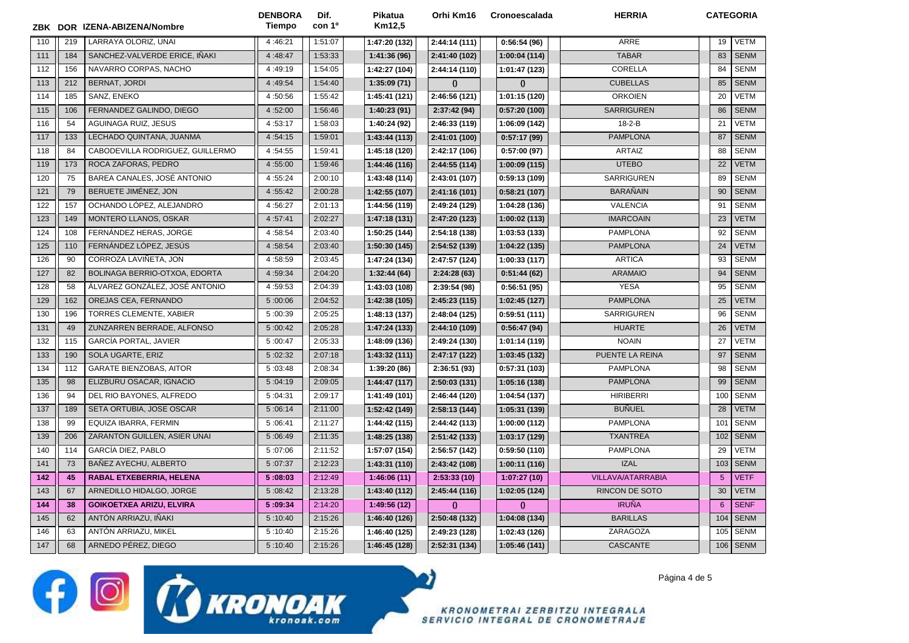| ZBK |     | DOR IZENA-ABIZENA/Nombre         | <b>DENBORA</b><br><b>Tiempo</b> | Dif.<br>con 1 <sup>o</sup> | Pikatua<br>Km12,5 | Orhi Km16     | <b>Cronoescalada</b> | <b>HERRIA</b>            | <b>CATEGORIA</b> |             |
|-----|-----|----------------------------------|---------------------------------|----------------------------|-------------------|---------------|----------------------|--------------------------|------------------|-------------|
| 110 | 219 | LARRAYA OLORIZ, UNAI             | 4:46:21                         | 1:51:07                    | 1:47:20 (132)     | 2:44:14 (111) | 0:56:54(96)          | ARRE                     | 19               | VETM        |
| 111 | 184 | SANCHEZ-VALVERDE ERICE, IÑAKI    | 4:48:47                         | 1:53:33                    | 1:41:36(96)       | 2:41:40 (102) | 1:00:04 (114)        | <b>TABAR</b>             | 83               | <b>SENM</b> |
| 112 | 156 | NAVARRO CORPAS, NACHO            | 4:49:19                         | 1:54:05                    | 1:42:27 (104)     | 2:44:14(110)  | 1:01:47 (123)        | CORELLA                  | 84               | <b>SENM</b> |
| 113 | 212 | BERNAT, JORDI                    | 4:49:54                         | 1:54:40                    | 1:35:09(71)       | $\theta$      | $\Omega$             | <b>CUBELLAS</b>          | 85               | <b>SENM</b> |
| 114 | 185 | SANZ, ENEKO                      | 4:50:56                         | 1:55:42                    | 1:45:41 (121)     | 2:46:56 (121) | 1:01:15 (120)        | <b>ORKOIEN</b>           | 20               | <b>VETM</b> |
| 115 | 106 | FERNANDEZ GALINDO, DIEGO         | 4:52:00                         | 1:56:46                    | 1:40:23(91)       | 2:37:42 (94)  | 0:57:20(100)         | <b>SARRIGUREN</b>        | 86               | <b>SENM</b> |
| 116 | 54  | AGUINAGA RUIZ, JESUS             | 4:53:17                         | 1:58:03                    | 1:40:24 (92)      | 2:46:33 (119) | 1:06:09 (142)        | $18 - 2 - B$             | 21               | <b>VETM</b> |
| 117 | 133 | LECHADO QUINTANA, JUANMA         | 4:54:15                         | 1:59:01                    | 1:43:44(113)      | 2:41:01 (100) | 0:57:17(99)          | <b>PAMPLONA</b>          | 87               | <b>SENM</b> |
| 118 | 84  | CABODEVILLA RODRIGUEZ, GUILLERMO | 4:54:55                         | 1:59:41                    | 1:45:18 (120)     | 2:42:17 (106) | 0:57:00(97)          | <b>ARTAIZ</b>            | 88               | <b>SENM</b> |
| 119 | 173 | ROCA ZAFORAS, PEDRO              | 4:55:00                         | 1:59:46                    | 1:44:46 (116)     | 2:44:55 (114) | 1:00:09 (115)        | <b>UTEBO</b>             | 22               | <b>VETM</b> |
| 120 | 75  | BAREA CANALES, JOSÉ ANTONIO      | 4:55:24                         | 2:00:10                    | 1:43:48 (114)     | 2:43:01 (107) | 0:59:13(109)         | SARRIGUREN               | 89               | <b>SENM</b> |
| 121 | 79  | BERUETE JIMÉNEZ, JON             | 4:55:42                         | 2:00:28                    | 1:42:55 (107)     | 2:41:16 (101) | 0:58:21(107)         | <b>BARAÑAIN</b>          | 90               | <b>SENM</b> |
| 122 | 157 | OCHANDO LÓPEZ, ALEJANDRO         | 4:56:27                         | 2:01:13                    | 1:44:56 (119)     | 2:49:24 (129) | 1:04:28 (136)        | <b>VALENCIA</b>          | 91               | <b>SENM</b> |
| 123 | 149 | MONTERO LLANOS, OSKAR            | 4:57:41                         | 2:02:27                    | 1:47:18 (131)     | 2:47:20 (123) | 1:00:02 (113)        | <b>IMARCOAIN</b>         | 23               | <b>VETM</b> |
| 124 | 108 | FERNANDEZ HERAS, JORGE           | 4:58:54                         | 2:03:40                    | 1:50:25 (144)     | 2:54:18 (138) | 1:03:53 (133)        | <b>PAMPLONA</b>          | 92               | <b>SENM</b> |
| 125 | 110 | FERNÁNDEZ LÓPEZ, JESÚS           | 4:58:54                         | 2:03:40                    | 1:50:30 (145)     | 2:54:52 (139) | 1:04:22 (135)        | <b>PAMPLONA</b>          | 24               | <b>VETM</b> |
| 126 | 90  | CORROZA LAVIÑETA, JON            | 4:58:59                         | 2:03:45                    | 1:47:24 (134)     | 2:47:57 (124) | 1:00:33 (117)        | <b>ARTICA</b>            | 93               | <b>SENM</b> |
| 127 | 82  | BOLINAGA BERRIO-OTXOA, EDORTA    | 4:59:34                         | 2:04:20                    | 1:32:44(64)       | 2:24:28(63)   | 0:51:44(62)          | <b>ARAMAIO</b>           | 94               | <b>SENM</b> |
| 128 | 58  | ÁLVAREZ GONZÁLEZ, JOSÉ ANTONIO   | 4:59:53                         | 2:04:39                    | 1:43:03 (108)     | 2:39:54 (98)  | 0:56:51(95)          | <b>YESA</b>              | 95               | <b>SENM</b> |
| 129 | 162 | OREJAS CEA, FERNANDO             | 5:00:06                         | 2:04:52                    | 1:42:38 (105)     | 2:45:23 (115) | 1:02:45 (127)        | <b>PAMPLONA</b>          | 25               | <b>VETM</b> |
| 130 | 196 | <b>TORRES CLEMENTE, XABIER</b>   | 5:00:39                         | 2:05:25                    | 1:48:13 (137)     | 2:48:04 (125) | 0:59:51(111)         | SARRIGUREN               | 96               | <b>SENM</b> |
| 131 | 49  | ZUNZARREN BERRADE, ALFONSO       | 5:00:42                         | 2:05:28                    | 1:47:24 (133)     | 2:44:10 (109) | 0:56:47(94)          | <b>HUARTE</b>            | 26               | <b>VETM</b> |
| 132 | 115 | <b>GARCÍA PORTAL, JAVIER</b>     | 5:00:47                         | 2:05:33                    | 1:48:09 (136)     | 2:49:24 (130) | 1:01:14 (119)        | <b>NOAIN</b>             | 27               | <b>VETM</b> |
| 133 | 190 | SOLA UGARTE, ERIZ                | 5:02:32                         | 2:07:18                    | 1:43:32 (111)     | 2:47:17 (122) | 1:03:45 (132)        | PUENTE LA REINA          | 97               | <b>SENM</b> |
| 134 | 112 | <b>GARATE BIENZOBAS, AITOR</b>   | 5:03:48                         | 2:08:34                    | 1:39:20 (86)      | 2:36:51 (93)  | 0:57:31(103)         | <b>PAMPLONA</b>          | 98               | <b>SENM</b> |
| 135 | 98  | ELIZBURU OSACAR, IGNACIO         | 5:04:19                         | 2:09:05                    | 1:44:47 (117)     | 2:50:03 (131) | 1:05:16 (138)        | <b>PAMPLONA</b>          | 99               | <b>SENM</b> |
| 136 | 94  | DEL RIO BAYONES, ALFREDO         | 5:04:31                         | 2:09:17                    | 1:41:49 (101)     | 2:46:44 (120) | 1:04:54 (137)        | <b>HIRIBERRI</b>         | 100              | <b>SENM</b> |
| 137 | 189 | SETA ORTUBIA, JOSE OSCAR         | 5:06:14                         | 2:11:00                    | 1:52:42 (149)     | 2:58:13 (144) | 1:05:31 (139)        | <b>BUÑUEL</b>            | 28               | <b>VETM</b> |
| 138 | 99  | EQUIZA IBARRA, FERMIN            | 5:06:41                         | 2:11:27                    | 1:44:42 (115)     | 2:44:42 (113) | 1:00:00 (112)        | <b>PAMPLONA</b>          | 101              | <b>SENM</b> |
| 139 | 206 | ZARANTON GUILLEN, ASIER UNAI     | 5:06:49                         | 2:11:35                    | 1:48:25 (138)     | 2:51:42 (133) | 1:03:17 (129)        | <b>TXANTREA</b>          | 102              | <b>SENM</b> |
| 140 | 114 | GARCÍA DIEZ, PABLO               | 5:07:06                         | 2:11:52                    | 1:57:07 (154)     | 2:56:57 (142) | 0:59:50(110)         | <b>PAMPLONA</b>          | 29               | <b>VETM</b> |
| 141 | 73  | BAÑEZ AYECHU, ALBERTO            | 5:07:37                         | 2:12:23                    | 1:43:31 (110)     | 2:43:42 (108) | 1:00:11 (116)        | <b>IZAL</b>              | 103              | <b>SENM</b> |
| 142 | 45  | RABAL ETXEBERRIA, HELENA         | 5:08:03                         | 2:12:49                    | 1:46:06(11)       | 2:53:33(10)   | 1:07:27(10)          | <b>VILLAVA/ATARRABIA</b> | $5\phantom{.0}$  | <b>VETF</b> |
| 143 | 67  | ARNEDILLO HIDALGO, JORGE         | 5:08:42                         | 2:13:28                    | 1:43:40 (112)     | 2:45:44 (116) | 1:02:05 (124)        | RINCON DE SOTO           | 30               | <b>VETM</b> |
| 144 | 38  | <b>GOIKOETXEA ARIZU, ELVIRA</b>  | 5:09:34                         | 2:14:20                    | 1:49:56 (12)      | $\theta$      | $\bf{0}$             | <b>IRUÑA</b>             | 6                | <b>SENF</b> |
| 145 | 62  | ANTÓN ARRIAZU, IÑAKI             | 5:10:40                         | 2:15:26                    | 1:46:40 (126)     | 2:50:48 (132) | 1:04:08 (134)        | <b>BARILLAS</b>          | 104              | <b>SENM</b> |
| 146 | 63  | ANTÓN ARRIAZU, MIKEL             | 5:10:40                         | 2:15:26                    | 1:46:40 (125)     | 2:49:23 (128) | 1:02:43 (126)        | ZARAGOZA                 | 105              | <b>SENM</b> |
| 147 | 68  | ARNEDO PÉREZ, DIEGO              | 5:10:40                         | 2:15:26                    | 1:46:45 (128)     | 2:52:31 (134) | 1:05:46 (141)        | CASCANTE                 | 106              | <b>SENM</b> |

**f** O CO KRONOAK